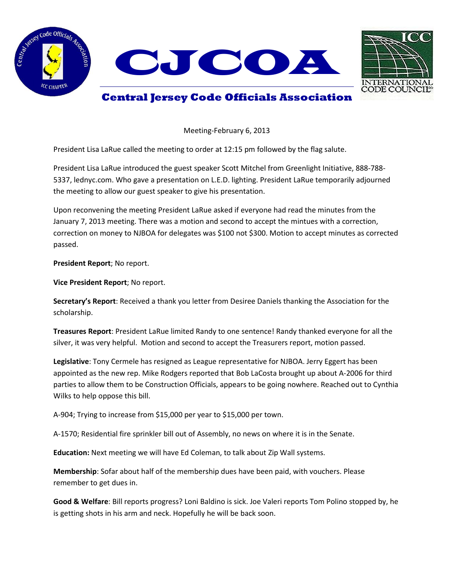



## **Central Jersey Code Officials Association**

Meeting-February 6, 2013

President Lisa LaRue called the meeting to order at 12:15 pm followed by the flag salute.

President Lisa LaRue introduced the guest speaker Scott Mitchel from Greenlight Initiative, 888-788- 5337, lednyc.com. Who gave a presentation on L.E.D. lighting. President LaRue temporarily adjourned the meeting to allow our guest speaker to give his presentation.

Upon reconvening the meeting President LaRue asked if everyone had read the minutes from the January 7, 2013 meeting. There was a motion and second to accept the mintues with a correction, correction on money to NJBOA for delegates was \$100 not \$300. Motion to accept minutes as corrected passed.

**President Report**; No report.

**Vice President Report**; No report.

**Secretary's Report**: Received a thank you letter from Desiree Daniels thanking the Association for the scholarship.

**Treasures Report**: President LaRue limited Randy to one sentence! Randy thanked everyone for all the silver, it was very helpful. Motion and second to accept the Treasurers report, motion passed.

**Legislative**: Tony Cermele has resigned as League representative for NJBOA. Jerry Eggert has been appointed as the new rep. Mike Rodgers reported that Bob LaCosta brought up about A-2006 for third parties to allow them to be Construction Officials, appears to be going nowhere. Reached out to Cynthia Wilks to help oppose this bill.

A-904; Trying to increase from \$15,000 per year to \$15,000 per town.

A-1570; Residential fire sprinkler bill out of Assembly, no news on where it is in the Senate.

**Education:** Next meeting we will have Ed Coleman, to talk about Zip Wall systems.

**Membership**: Sofar about half of the membership dues have been paid, with vouchers. Please remember to get dues in.

**Good & Welfare**: Bill reports progress? Loni Baldino is sick. Joe Valeri reports Tom Polino stopped by, he is getting shots in his arm and neck. Hopefully he will be back soon.